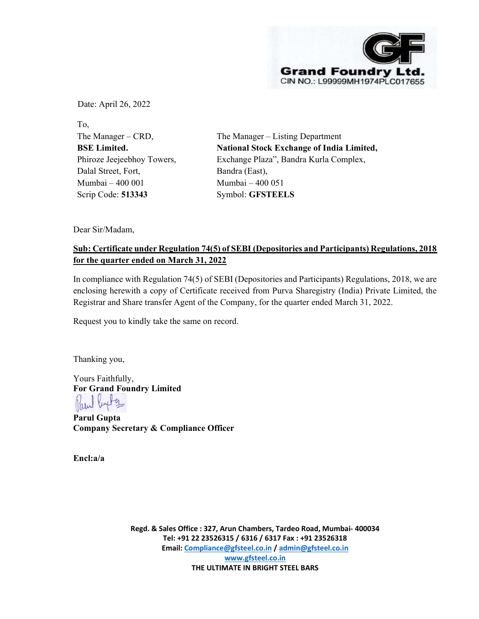

Date: April 26, 2022

To, The Manager – CRD, BSE Limited. Phiroze Jeejeebhoy Towers, Dalal Street, Fort, Mumbai – 400 001 Scrip Code: 513343

The Manager – Listing Department National Stock Exchange of India Limited, Exchange Plaza", Bandra Kurla Complex, Bandra (East), Mumbai – 400 051 Symbol: GFSTEELS

Dear Sir/Madam,

## Sub: Certificate under Regulation 74(5) of SEBI (Depositories and Participants) Regulations, 2018 for the quarter ended on March 31, 2022

In compliance with Regulation 74(5) of SEBI (Depositories and Participants) Regulations, 2018, we are enclosing herewith a copy of Certificate received from Purva Sharegistry (India) Private Limited, the Registrar and Share transfer Agent of the Company, for the quarter ended March 31, 2022.

Request you to kindly take the same on record.

Thanking you,

Yours Faithfully, For Grand Foundry Limited

Parul Gupta Company Secretary & Compliance Officer

Encl:a/a

Regd. & Sales Office : 327, Arun Chambers, Tardeo Road, Mumbai- 400034 Tel: +91 22 23526315 / 6316 / 6317 Fax : +91 23526318 Email: Compliance@gfsteel.co.in / admin@gfsteel.co.in www.gfsteel.co.in THE ULTIMATE IN BRIGHT STEEL BARS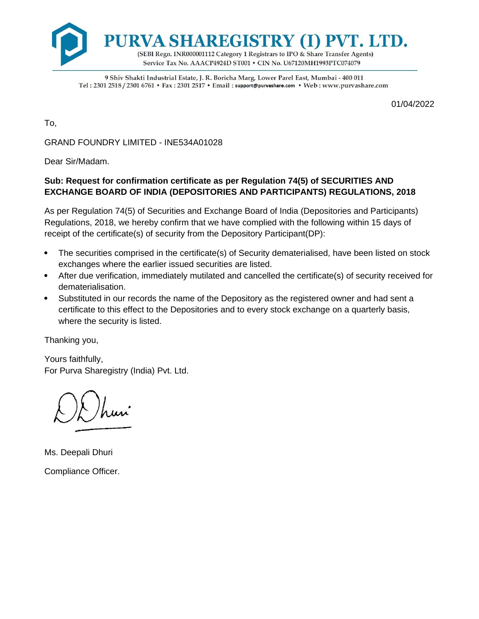

9 Shiv Shakti Industrial Estate, J. R. Boricha Marg, Lower Parel East, Mumbai - 400 011 Tel: 2301 2518 / 2301 6761 • Fax: 2301 2517 • Email: support@purvashare.com • Web: www.purvashare.com

01/04/2022

To,

GRAND FOUNDRY LIMITED - INE534A01028

Dear Sir/Madam.

## **Sub: Request for confirmation certificate as per Regulation 74(5) of SECURITIES AND EXCHANGE BOARD OF INDIA (DEPOSITORIES AND PARTICIPANTS) REGULATIONS, 2018**

As per Regulation 74(5) of Securities and Exchange Board of India (Depositories and Participants) Regulations, 2018, we hereby confirm that we have complied with the following within 15 days of receipt of the certificate(s) of security from the Depository Participant(DP):

- The securities comprised in the certificate(s) of Security dematerialised, have been listed on stock exchanges where the earlier issued securities are listed.
- After due verification, immediately mutilated and cancelled the certificate(s) of security received for dematerialisation.
- Substituted in our records the name of the Depository as the registered owner and had sent a certificate to this effect to the Depositories and to every stock exchange on a quarterly basis, where the security is listed.

Thanking you,

Yours faithfully, For Purva Sharegistry (India) Pvt. Ltd.

Ms. Deepali Dhuri Compliance Officer.